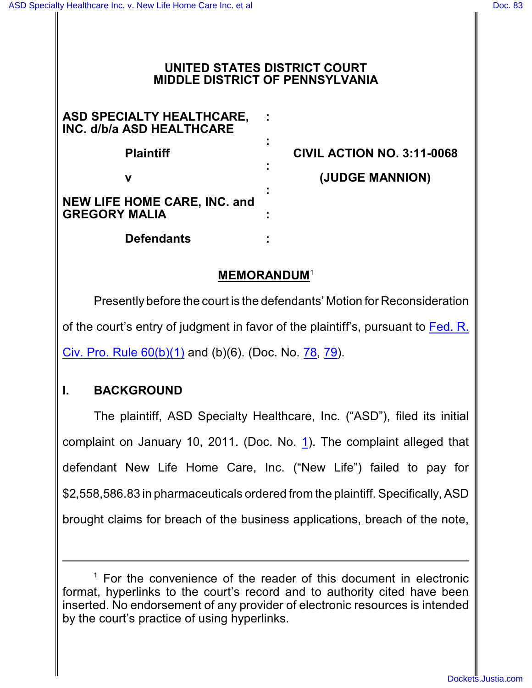#### **UNITED STATES DISTRICT COURT MIDDLE DISTRICT OF PENNSYLVANIA**

| ASD SPECIALTY HEALTHCARE,<br>INC. d/b/a ASD HEALTHCARE      |  |
|-------------------------------------------------------------|--|
| <b>Plaintiff</b>                                            |  |
|                                                             |  |
| <b>NEW LIFE HOME CARE, INC. and</b><br><b>GREGORY MALIA</b> |  |
| <b>Defendants</b>                                           |  |

**Plaintiff CIVIL ACTION NO. 3:11-0068 v (JUDGE MANNION)**

### **MEMORANDUM**<sup>1</sup>

Presently before the court is the defendants' Motion for Reconsideration of the court's entry of judgment in favor of the plaintiff's, pursuant to [Fed. R.](http://westlaw.com/find/default.wl?ft=L&docname=USFRCPR60&rs=btil2.0&rp=%2ffind%2fdefault.wl&fn=_top&findtype=L&vr=2.0&db=1000600&wbtoolsId=USFRCPR60&HistoryType=F) Civ. Pro. Rule  $60(b)(1)$  and  $(b)(6)$ . (Doc. No. [78](http://ecf.pamd.uscourts.gov/doc1/15504155288), [79](http://ecf.pamd.uscourts.gov/doc1/15504168653)).

# **I. BACKGROUND**

The plaintiff, ASD Specialty Healthcare, Inc. ("ASD"), filed its initial complaint on January 10, 2011. (Doc. No. [1](http://ecf.pamd.uscourts.gov/doc1/15511)). The complaint alleged that defendant New Life Home Care, Inc. ("New Life") failed to pay for \$2,558,586.83 in pharmaceuticals ordered from the plaintiff. Specifically, ASD brought claims for breach of the business applications, breach of the note,

 $1$  For the convenience of the reader of this document in electronic format, hyperlinks to the court's record and to authority cited have been inserted. No endorsement of any provider of electronic resources is intended by the court's practice of using hyperlinks.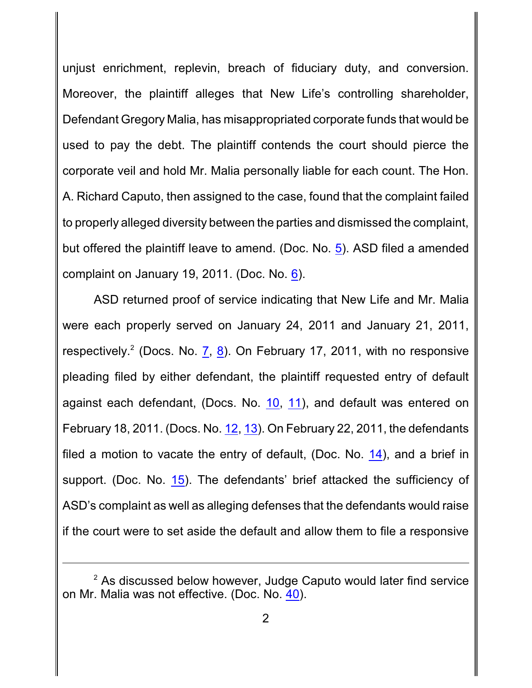unjust enrichment, replevin, breach of fiduciary duty, and conversion. Moreover, the plaintiff alleges that New Life's controlling shareholder, Defendant Gregory Malia, has misappropriated corporate funds that would be used to pay the debt. The plaintiff contends the court should pierce the corporate veil and hold Mr. Malia personally liable for each count. The Hon. A. Richard Caputo, then assigned to the case, found that the complaint failed to properly alleged diversity between the parties and dismissed the complaint, but offered the plaintiff leave to amend. (Doc. No. [5](http://ecf.pamd.uscourts.gov/doc1/15503194902)). ASD filed a amended complaint on January 19, 2011. (Doc. No. [6](http://ecf.pamd.uscourts.gov/doc1/15503195399)).

ASD returned proof of service indicating that New Life and Mr. Malia were each properly served on January 24, 2011 and January 21, 2011, respectively.<sup>2</sup> (Docs. No. [7](http://ecf.pamd.uscourts.gov/doc1/15503220626), [8](http://ecf.pamd.uscourts.gov/doc1/15503220640)). On February 17, 2011, with no responsive pleading filed by either defendant, the plaintiff requested entry of default against each defendant, (Docs. No. [10](http://ecf.pamd.uscourts.gov/doc1/15503231869), [11](http://ecf.pamd.uscourts.gov/doc1/15503231872)), and default was entered on February 18, 2011. (Docs. No. [12](http://ecf.pamd.uscourts.gov/doc1/15503233190), [13](http://ecf.pamd.uscourts.gov/doc1/15503233221)). On February 22, 2011, the defendants filed a motion to vacate the entry of default, (Doc. No. [14](http://ecf.pamd.uscourts.gov/doc1/15503234948)), and a brief in support. (Doc. No. [15](http://ecf.pamd.uscourts.gov/doc1/15503235280)). The defendants' brief attacked the sufficiency of ASD's complaint as well as alleging defenses that the defendants would raise if the court were to set aside the default and allow them to file a responsive

 $2$  As discussed below however, Judge Caputo would later find service on Mr. Malia was not effective. (Doc. No. [40](http://ecf.pamd.uscourts.gov/doc1/15503571116)).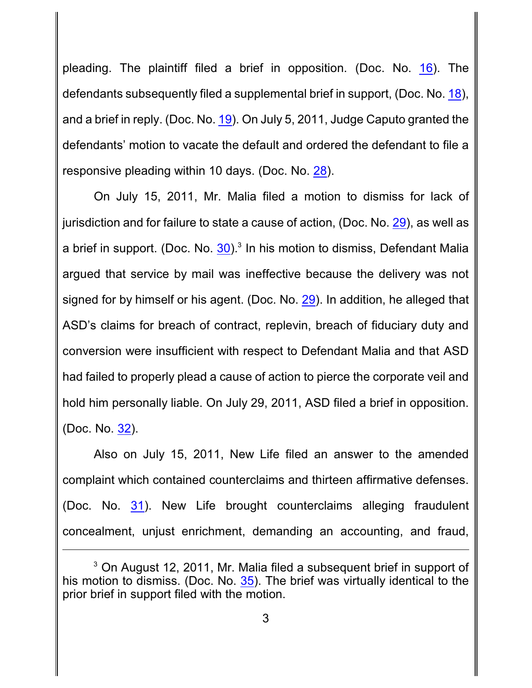pleading. The plaintiff filed a brief in opposition. (Doc. No. [16](http://ecf.pamd.uscourts.gov/doc1/15503241736)). The defendants subsequently filed a supplemental brief in support, (Doc. No. [18](http://ecf.pamd.uscourts.gov/doc1/15503244803)), and a brief in reply. (Doc. No. [19](http://ecf.pamd.uscourts.gov/doc1/15503258002)). On July 5, 2011, Judge Caputo granted the defendants' motion to vacate the default and ordered the defendant to file a responsive pleading within 10 days. (Doc. No. [28](http://ecf.pamd.uscourts.gov/doc1/15503401198)).

On July 15, 2011, Mr. Malia filed a motion to dismiss for lack of jurisdiction and for failure to state a cause of action, (Doc. No. [29](http://ecf.pamd.uscourts.gov/doc1/15503413372)), as well as a brief in support. (Doc. No.  $30$ ).<sup>3</sup> In his motion to dismiss, Defendant Malia argued that service by mail was ineffective because the delivery was not signed for by himself or his agent. (Doc. No. [29](http://ecf.pamd.uscourts.gov/doc1/15503413372)). In addition, he alleged that ASD's claims for breach of contract, replevin, breach of fiduciary duty and conversion were insufficient with respect to Defendant Malia and that ASD had failed to properly plead a cause of action to pierce the corporate veil and hold him personally liable. On July 29, 2011, ASD filed a brief in opposition. (Doc. No. [32](http://ecf.pamd.uscourts.gov/doc1/15503429996)).

Also on July 15, 2011, New Life filed an answer to the amended complaint which contained counterclaims and thirteen affirmative defenses. (Doc. No. [31](http://ecf.pamd.uscourts.gov/doc1/15503413387)). New Life brought counterclaims alleging fraudulent concealment, unjust enrichment, demanding an accounting, and fraud,

 $3$  On August 12, 2011, Mr. Malia filed a subsequent brief in support of his motion to dismiss. (Doc. No. [35](http://ecf.pamd.uscourts.gov/doc1/15503446543)). The brief was virtually identical to the prior brief in support filed with the motion.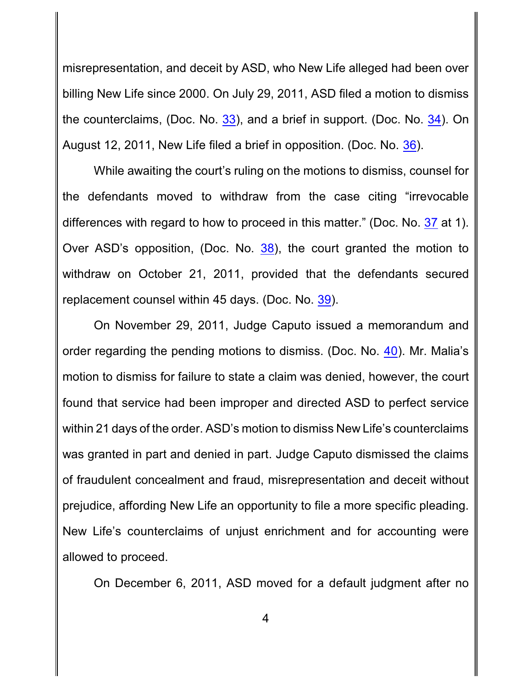misrepresentation, and deceit by ASD, who New Life alleged had been over billing New Life since 2000. On July 29, 2011, ASD filed a motion to dismiss the counterclaims, (Doc. No. [33](http://ecf.pamd.uscourts.gov/doc1/15503430007)), and a brief in support. (Doc. No. [34](http://ecf.pamd.uscourts.gov/doc1/15503430028)). On August 12, 2011, New Life filed a brief in opposition. (Doc. No. [36](http://ecf.pamd.uscourts.gov/doc1/15503446546)).

While awaiting the court's ruling on the motions to dismiss, counsel for the defendants moved to withdraw from the case citing "irrevocable differences with regard to how to proceed in this matter." (Doc. No. [37](http://ecf.pamd.uscourts.gov/doc1/15503517075) at 1). Over ASD's opposition, (Doc. No. [38](http://ecf.pamd.uscourts.gov/doc1/15503518586)), the court granted the motion to withdraw on October 21, 2011, provided that the defendants secured replacement counsel within 45 days. (Doc. No. [39](http://ecf.pamd.uscourts.gov/doc1/15503526389)).

On November 29, 2011, Judge Caputo issued a memorandum and order regarding the pending motions to dismiss. (Doc. No. [40](http://ecf.pamd.uscourts.gov/doc1/15503571116)). Mr. Malia's motion to dismiss for failure to state a claim was denied, however, the court found that service had been improper and directed ASD to perfect service within 21 days of the order. ASD's motion to dismiss New Life's counterclaims was granted in part and denied in part. Judge Caputo dismissed the claims of fraudulent concealment and fraud, misrepresentation and deceit without prejudice, affording New Life an opportunity to file a more specific pleading. New Life's counterclaims of unjust enrichment and for accounting were allowed to proceed.

On December 6, 2011, ASD moved for a default judgment after no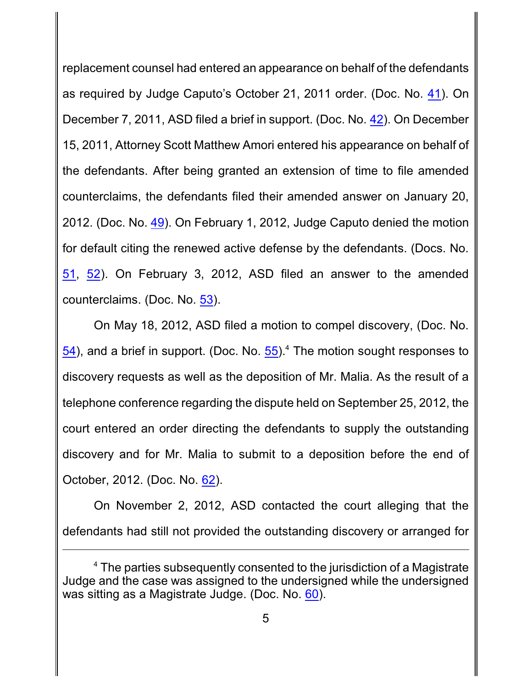replacement counsel had entered an appearance on behalf of the defendants as required by Judge Caputo's October 21, 2011 order. (Doc. No. [41](http://ecf.pamd.uscourts.gov/doc1/15503580031)). On December 7, 2011, ASD filed a brief in support. (Doc. No. [42](http://ecf.pamd.uscourts.gov/doc1/15503582218)). On December 15, 2011, Attorney Scott Matthew Amori entered his appearance on behalf of the defendants. After being granted an extension of time to file amended counterclaims, the defendants filed their amended answer on January 20, 2012. (Doc. No. [49](http://ecf.pamd.uscourts.gov/doc1/15503627222)). On February 1, 2012, Judge Caputo denied the motion for default citing the renewed active defense by the defendants. (Docs. No. [51](http://ecf.pamd.uscourts.gov/doc1/15503639853), [52](http://ecf.pamd.uscourts.gov/doc1/15503639862)). On February 3, 2012, ASD filed an answer to the amended counterclaims. (Doc. No. [53](http://ecf.pamd.uscourts.gov/doc1/15503643798)).

On May 18, 2012, ASD filed a motion to compel discovery, (Doc. No. [54](http://ecf.pamd.uscourts.gov/doc1/15503771693)), and a brief in support. (Doc. No.  $55)$ <sup>4</sup>. The motion sought responses to discovery requests as well as the deposition of Mr. Malia. As the result of a telephone conference regarding the dispute held on September 25, 2012, the court entered an order directing the defendants to supply the outstanding discovery and for Mr. Malia to submit to a deposition before the end of October, 2012. (Doc. No. [62](http://ecf.pamd.uscourts.gov/doc1/15503922990)).

On November 2, 2012, ASD contacted the court alleging that the defendants had still not provided the outstanding discovery or arranged for

 $4$  The parties subsequently consented to the jurisdiction of a Magistrate Judge and the case was assigned to the undersigned while the undersigned was sitting as a Magistrate Judge. (Doc. No. [60](http://ecf.pamd.uscourts.gov/doc1/15503894908)).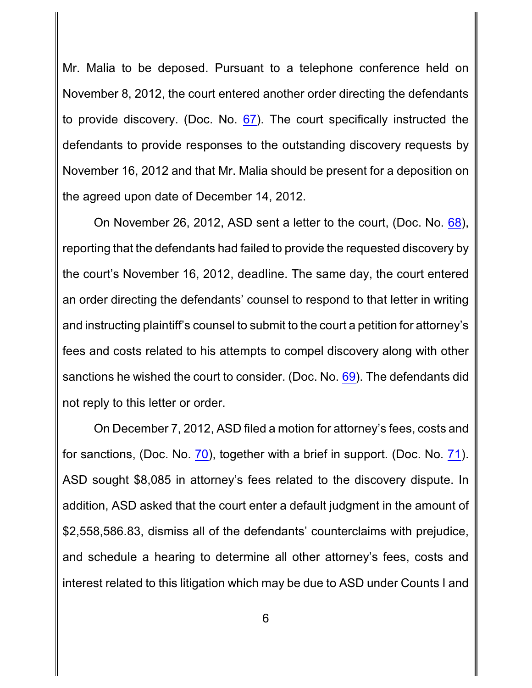Mr. Malia to be deposed. Pursuant to a telephone conference held on November 8, 2012, the court entered another order directing the defendants to provide discovery. (Doc. No. [67](http://ecf.pamd.uscourts.gov/doc1/15503972070)). The court specifically instructed the defendants to provide responses to the outstanding discovery requests by November 16, 2012 and that Mr. Malia should be present for a deposition on the agreed upon date of December 14, 2012.

On November 26, 2012, ASD sent a letter to the court, (Doc. No. [68](http://ecf.pamd.uscourts.gov/doc1/15503988495)), reporting that the defendants had failed to provide the requested discovery by the court's November 16, 2012, deadline. The same day, the court entered an order directing the defendants' counsel to respond to that letter in writing and instructing plaintiff's counsel to submit to the court a petition for attorney's fees and costs related to his attempts to compel discovery along with other sanctions he wished the court to consider. (Doc. No. [69](http://ecf.pamd.uscourts.gov/doc1/15503988952)). The defendants did not reply to this letter or order.

On December 7, 2012, ASD filed a motion for attorney's fees, costs and for sanctions, (Doc. No. [70](http://ecf.pamd.uscourts.gov/doc1/15504003430)), together with a brief in support. (Doc. No. [71](http://ecf.pamd.uscourts.gov/doc1/15504003449)). ASD sought \$8,085 in attorney's fees related to the discovery dispute. In addition, ASD asked that the court enter a default judgment in the amount of \$2,558,586.83, dismiss all of the defendants' counterclaims with prejudice, and schedule a hearing to determine all other attorney's fees, costs and interest related to this litigation which may be due to ASD under Counts I and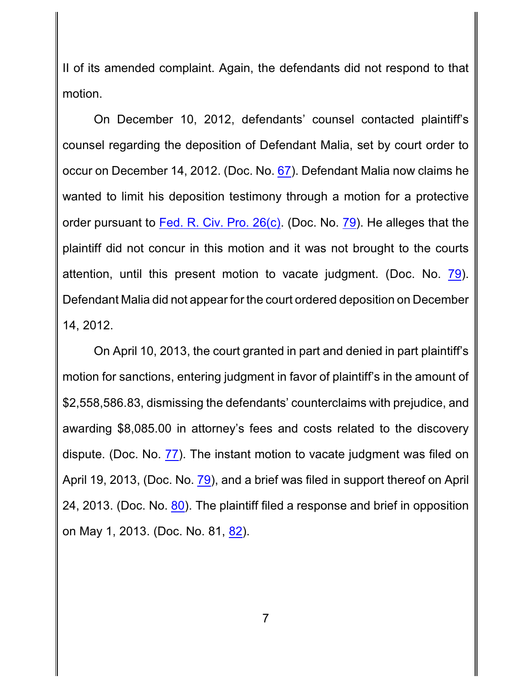II of its amended complaint. Again, the defendants did not respond to that motion.

On December 10, 2012, defendants' counsel contacted plaintiff's counsel regarding the deposition of Defendant Malia, set by court order to occur on December 14, 2012. (Doc. No. [67](http://ecf.pamd.uscourts.gov/doc1/15503972070)). Defendant Malia now claims he wanted to limit his deposition testimony through a motion for a protective order pursuant to Fed. [R. Civ. Pro. 26\(c\)](http://westlaw.com/find/default.wl?ft=L&docname=USFRCPR26&rs=btil2.0&rp=%2ffind%2fdefault.wl&fn=_top&findtype=L&vr=2.0&db=1000600&wbtoolsId=USFRCPR26&HistoryType=F). (Doc. No. [79](http://ecf.pamd.uscourts.gov/doc1/15504168653)). He alleges that the plaintiff did not concur in this motion and it was not brought to the courts attention, until this present motion to vacate judgment. (Doc. No. [79](http://ecf.pamd.uscourts.gov/doc1/15504168653)). Defendant Malia did not appear for the court ordered deposition on December 14, 2012.

On April 10, 2013, the court granted in part and denied in part plaintiff's motion for sanctions, entering judgment in favor of plaintiff's in the amount of \$2,558,586.83, dismissing the defendants' counterclaims with prejudice, and awarding \$8,085.00 in attorney's fees and costs related to the discovery dispute. (Doc. No. [77](http://ecf.pamd.uscourts.gov/doc1/15504155245)). The instant motion to vacate judgment was filed on April 19, 2013, (Doc. No. [79](http://ecf.pamd.uscourts.gov/doc1/15504168653)), and a brief was filed in support thereof on April 24, 2013. (Doc. No. [80](http://ecf.pamd.uscourts.gov/doc1/15504173942)). The plaintiff filed a response and brief in opposition on May 1, 2013. (Doc. No. 81, [82](http://ecf.pamd.uscourts.gov/doc1/15504183053)).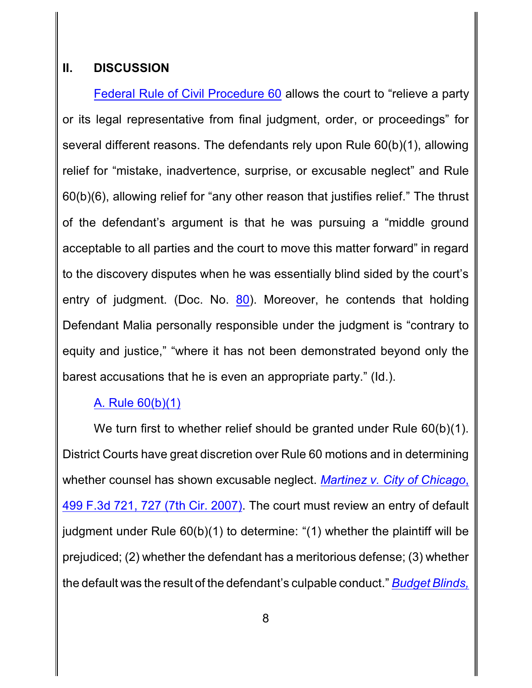### **II. DISCUSSION**

Federal Rule of [Civil Procedure 60](http://westlaw.com/find/default.wl?ft=L&docname=USFRCPR60&rs=btil2.0&rp=%2ffind%2fdefault.wl&fn=_top&findtype=L&vr=2.0&db=1000600&wbtoolsId=USFRCPR60&HistoryType=F) allows the court to "relieve a party or its legal representative from final judgment, order, or proceedings" for several different reasons. The defendants rely upon Rule 60(b)(1), allowing relief for "mistake, inadvertence, surprise, or excusable neglect" and Rule 60(b)(6), allowing relief for "any other reason that justifies relief." The thrust of the defendant's argument is that he was pursuing a "middle ground acceptable to all parties and the court to move this matter forward" in regard to the discovery disputes when he was essentially blind sided by the court's entry of judgment. (Doc. No.  $80$ ). Moreover, he contends that holding Defendant Malia personally responsible under the judgment is "contrary to equity and justice," "where it has not been demonstrated beyond only the barest accusations that he is even an appropriate party." (Id.).

# [A. Rule 60\(b\)\(1\)](http://westlaw.com/find/default.wl?ft=L&docname=USFRCPR60&rs=btil2.0&rp=%2ffind%2fdefault.wl&fn=_top&findtype=L&vr=2.0&db=1000600&wbtoolsId=USFRCPR60&HistoryType=F)

We turn first to whether relief should be granted under Rule 60(b)(1). District Courts have great discretion over Rule 60 motions and in determining whether counsel has shown excusable neglect. *[Martinez v. City of Chicago](http://westlaw.com/find/default.wl?ft=Y&referencepositiontype=S&rs=btil2.0&rp=%2ffind%2fdefault.wl&serialnum=2012991940&fn=_top&referenceposition=727&findtype=Y&vr=2.0&db=0000506&wbtoolsId=2012991940&HistoryType=F)*, [499 F.3d 721, 727 \(7th Cir.](http://westlaw.com/find/default.wl?ft=Y&referencepositiontype=S&rs=btil2.0&rp=%2ffind%2fdefault.wl&serialnum=2012991940&fn=_top&referenceposition=727&findtype=Y&vr=2.0&db=0000506&wbtoolsId=2012991940&HistoryType=F) 2007). The court must review an entry of default judgment under Rule 60(b)(1) to determine: "(1) whether the plaintiff will be prejudiced; (2) whether the defendant has a meritorious defense; (3) whether the default was the result of the defendant's culpable conduct." *[Budget](http://westlaw.com/find/default.wl?ft=Y&referencepositiontype=S&rs=btil2.0&rp=%2ffind%2fdefault.wl&serialnum=2016620777&fn=_top&referenceposition=256&findtype=Y&vr=2.0&db=0000506&wbtoolsId=2016620777&HistoryType=F) Blinds,*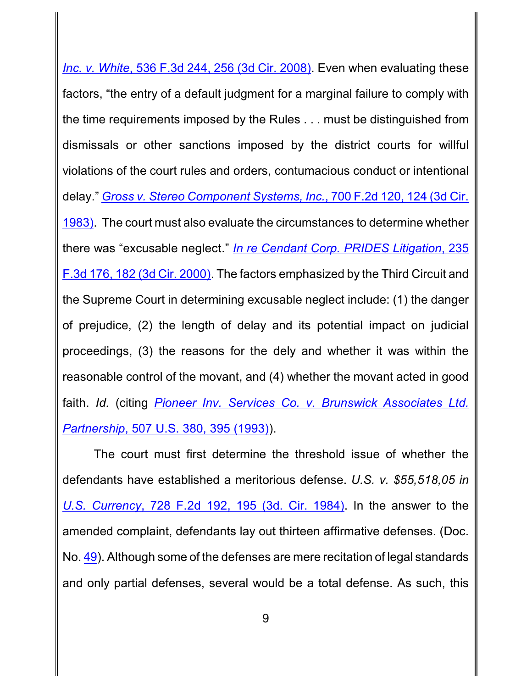*Inc. v. White*, 536 F.3d 244, 256 (3d Cir. 2008). Even when evaluating these factors, "the entry of a default judgment for a marginal failure to comply with the time requirements imposed by the Rules . . . must be distinguished from dismissals or other sanctions imposed by the district courts for willful violations of the court rules and orders, contumacious conduct or intentional delay." *Gross v. Stereo Component [Systems, Inc.](http://westlaw.com/find/default.wl?ft=Y&referencepositiontype=S&rs=btil2.0&rp=%2ffind%2fdefault.wl&serialnum=1983108798&fn=_top&referenceposition=124&findtype=Y&vr=2.0&db=0000350&wbtoolsId=1983108798&HistoryType=F)*, 700 F.2d 120, 124 (3d Cir. [1983\)](http://westlaw.com/find/default.wl?ft=Y&referencepositiontype=S&rs=btil2.0&rp=%2ffind%2fdefault.wl&serialnum=1983108798&fn=_top&referenceposition=124&findtype=Y&vr=2.0&db=0000350&wbtoolsId=1983108798&HistoryType=F). The court must also evaluate the circumstances to determine whether there was "excusable neglect." *In re Cendant Corp. [PRIDES Litigation](http://westlaw.com/find/default.wl?ft=Y&referencepositiontype=S&rs=btil2.0&rp=%2ffind%2fdefault.wl&serialnum=2000646141&fn=_top&referenceposition=182&findtype=Y&vr=2.0&db=0000506&wbtoolsId=2000646141&HistoryType=F)*, 235 F.3d 176, [182 \(3d Cir.](http://westlaw.com/find/default.wl?ft=Y&referencepositiontype=S&rs=btil2.0&rp=%2ffind%2fdefault.wl&serialnum=2000646141&fn=_top&referenceposition=182&findtype=Y&vr=2.0&db=0000506&wbtoolsId=2000646141&HistoryType=F) 2000). The factors emphasized by the Third Circuit and the Supreme Court in determining excusable neglect include: (1) the danger of prejudice, (2) the length of delay and its potential impact on judicial proceedings, (3) the reasons for the dely and whether it was within the reasonable control of the movant, and (4) whether the movant acted in good faith. *Id.* (citing *Pioneer Inv. Services Co. v. [Brunswick Associates](http://westlaw.com/find/default.wl?ft=Y&referencepositiontype=S&rs=btil2.0&rp=%2ffind%2fdefault.wl&serialnum=1993072396&fn=_top&referenceposition=395&findtype=Y&vr=2.0&db=0000780&wbtoolsId=1993072396&HistoryType=F) Ltd. Partnership*[, 507 U.S. 380, 395 \(1993\)](http://westlaw.com/find/default.wl?ft=Y&referencepositiontype=S&rs=btil2.0&rp=%2ffind%2fdefault.wl&serialnum=1993072396&fn=_top&referenceposition=395&findtype=Y&vr=2.0&db=0000780&wbtoolsId=1993072396&HistoryType=F)).

The court must first determine the threshold issue of whether the defendants have established a meritorious defense. *U.S. v. \$55,518,05 in U.S. Currency*, 728 F.2d [192, 195 \(3d.](http://westlaw.com/find/default.wl?ft=Y&referencepositiontype=S&rs=btil2.0&rp=%2ffind%2fdefault.wl&serialnum=1984109332&fn=_top&referenceposition=195&findtype=Y&vr=2.0&db=0000350&wbtoolsId=1984109332&HistoryType=F) Cir. 1984). In the answer to the amended complaint, defendants lay out thirteen affirmative defenses. (Doc. No. [49](http://ecf.pamd.uscourts.gov/doc1/15503627222)). Although some of the defenses are mere recitation of legal standards and only partial defenses, several would be a total defense. As such, this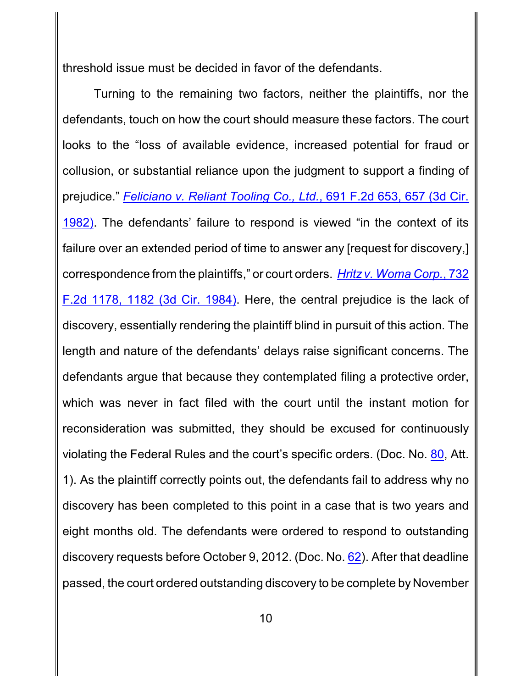threshold issue must be decided in favor of the defendants.

Turning to the remaining two factors, neither the plaintiffs, nor the defendants, touch on how the court should measure these factors. The court looks to the "loss of available evidence, increased potential for fraud or collusion, or substantial reliance upon the judgment to support a finding of prejudice." *[Feliciano v. Reliant Tooling Co., Ltd.](http://westlaw.com/find/default.wl?ft=Y&referencepositiontype=S&rs=btil2.0&rp=%2ffind%2fdefault.wl&serialnum=1982146331&fn=_top&referenceposition=657&findtype=Y&vr=2.0&db=0000350&wbtoolsId=1982146331&HistoryType=F)*, 691 F.2d 653, 657 (3d Cir. [1982\)](http://westlaw.com/find/default.wl?ft=Y&referencepositiontype=S&rs=btil2.0&rp=%2ffind%2fdefault.wl&serialnum=1982146331&fn=_top&referenceposition=657&findtype=Y&vr=2.0&db=0000350&wbtoolsId=1982146331&HistoryType=F). The defendants' failure to respond is viewed "in the context of its failure over an extended period of time to answer any [request for discovery,] correspondence from the plaintiffs," or court orders. *Hritz v. [Woma Corp.](http://westlaw.com/find/default.wl?ft=Y&referencepositiontype=S&rs=btil2.0&rp=%2ffind%2fdefault.wl&serialnum=1984120089&fn=_top&referenceposition=1182&findtype=Y&vr=2.0&db=0000350&wbtoolsId=1984120089&HistoryType=F)*, 732 F.2d [1178, 1182](http://westlaw.com/find/default.wl?ft=Y&referencepositiontype=S&rs=btil2.0&rp=%2ffind%2fdefault.wl&serialnum=1984120089&fn=_top&referenceposition=1182&findtype=Y&vr=2.0&db=0000350&wbtoolsId=1984120089&HistoryType=F) (3d Cir. 1984). Here, the central prejudice is the lack of discovery, essentially rendering the plaintiff blind in pursuit of this action. The length and nature of the defendants' delays raise significant concerns. The defendants argue that because they contemplated filing a protective order, which was never in fact filed with the court until the instant motion for reconsideration was submitted, they should be excused for continuously violating the Federal Rules and the court's specific orders. (Doc. No. [80](http://ecf.pamd.uscourts.gov/doc1/15504173942), Att. 1). As the plaintiff correctly points out, the defendants fail to address why no discovery has been completed to this point in a case that is two years and eight months old. The defendants were ordered to respond to outstanding discovery requests before October 9, 2012. (Doc. No. [62](http://ecf.pamd.uscourts.gov/doc1/15503922990)). After that deadline passed, the court ordered outstanding discovery to be complete by November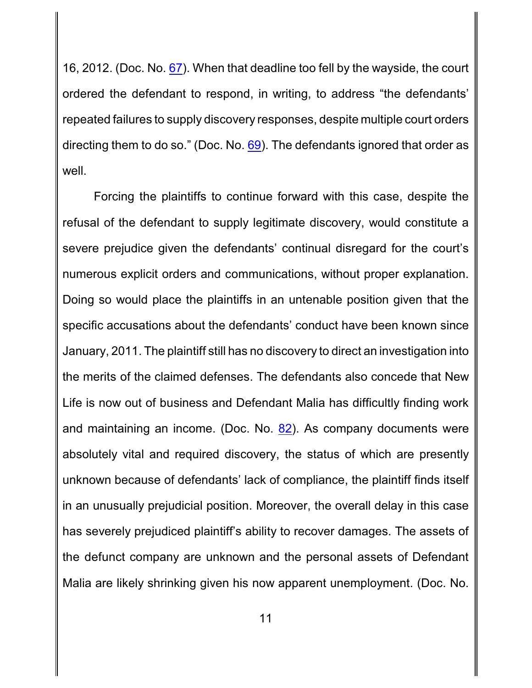16, 2012. (Doc. No. [67](http://ecf.pamd.uscourts.gov/doc1/15503972070)). When that deadline too fell by the wayside, the court ordered the defendant to respond, in writing, to address "the defendants' repeated failures to supply discovery responses, despite multiple court orders directing them to do so." (Doc. No. [69](http://ecf.pamd.uscourts.gov/doc1/15503988952)). The defendants ignored that order as well.

Forcing the plaintiffs to continue forward with this case, despite the refusal of the defendant to supply legitimate discovery, would constitute a severe prejudice given the defendants' continual disregard for the court's numerous explicit orders and communications, without proper explanation. Doing so would place the plaintiffs in an untenable position given that the specific accusations about the defendants' conduct have been known since January, 2011. The plaintiff still has no discovery to direct an investigation into the merits of the claimed defenses. The defendants also concede that New Life is now out of business and Defendant Malia has difficultly finding work and maintaining an income. (Doc. No. [82](http://ecf.pamd.uscourts.gov/doc1/15504183053)). As company documents were absolutely vital and required discovery, the status of which are presently unknown because of defendants' lack of compliance, the plaintiff finds itself in an unusually prejudicial position. Moreover, the overall delay in this case has severely prejudiced plaintiff's ability to recover damages. The assets of the defunct company are unknown and the personal assets of Defendant Malia are likely shrinking given his now apparent unemployment. (Doc. No.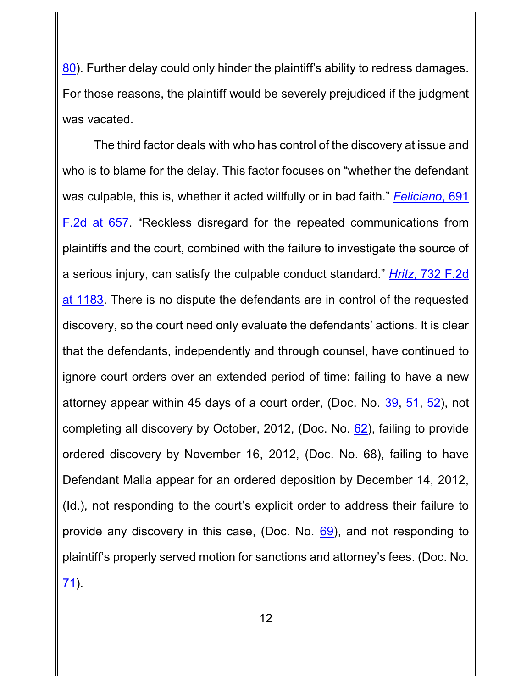[80](http://ecf.pamd.uscourts.gov/doc1/15504173942)). Further delay could only hinder the plaintiff's ability to redress damages. For those reasons, the plaintiff would be severely prejudiced if the judgment was vacated.

The third factor deals with who has control of the discovery at issue and who is to blame for the delay. This factor focuses on "whether the defendant was culpable, this is, whether it acted willfully or in bad faith." *[Feliciano](http://westlaw.com/find/default.wl?ft=Y&referencepositiontype=S&rs=btil2.0&rp=%2ffind%2fdefault.wl&serialnum=1982146331&fn=_top&referenceposition=657&findtype=Y&vr=2.0&db=0000350&wbtoolsId=1982146331&HistoryType=F)*, 691 [F.2d](http://westlaw.com/find/default.wl?ft=Y&referencepositiontype=S&rs=btil2.0&rp=%2ffind%2fdefault.wl&serialnum=1982146331&fn=_top&referenceposition=657&findtype=Y&vr=2.0&db=0000350&wbtoolsId=1982146331&HistoryType=F) at 657. "Reckless disregard for the repeated communications from plaintiffs and the court, combined with the failure to investigate the source of a serious injury, can satisfy the culpable conduct standard." *Hritz*[, 732 F.2d](http://westlaw.com/find/default.wl?ft=Y&referencepositiontype=S&rs=btil2.0&rp=%2ffind%2fdefault.wl&serialnum=1984120089&fn=_top&referenceposition=1182&findtype=Y&vr=2.0&db=0000350&wbtoolsId=1984120089&HistoryType=F) at [1183](http://westlaw.com/find/default.wl?ft=Y&referencepositiontype=S&rs=btil2.0&rp=%2ffind%2fdefault.wl&serialnum=1984120089&fn=_top&referenceposition=1182&findtype=Y&vr=2.0&db=0000350&wbtoolsId=1984120089&HistoryType=F). There is no dispute the defendants are in control of the requested discovery, so the court need only evaluate the defendants' actions. It is clear that the defendants, independently and through counsel, have continued to ignore court orders over an extended period of time: failing to have a new attorney appear within 45 days of a court order, (Doc. No. [39](http://ecf.pamd.uscourts.gov/doc1/15503526389), [51](http://ecf.pamd.uscourts.gov/doc1/15503639853), [52](http://ecf.pamd.uscourts.gov/doc1/15503639862)), not completing all discovery by October, 2012, (Doc. No. [62](http://ecf.pamd.uscourts.gov/doc1/15503922990)), failing to provide ordered discovery by November 16, 2012, (Doc. No. 68), failing to have Defendant Malia appear for an ordered deposition by December 14, 2012, (Id.), not responding to the court's explicit order to address their failure to provide any discovery in this case, (Doc. No. [69](http://ecf.pamd.uscourts.gov/doc1/15503988952)), and not responding to plaintiff's properly served motion for sanctions and attorney's fees. (Doc. No. [71](http://ecf.pamd.uscourts.gov/doc1/15504003449)).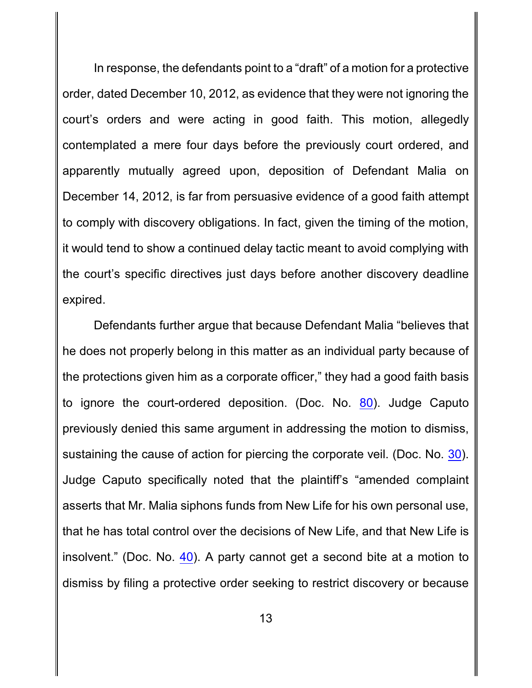In response, the defendants point to a "draft" of a motion for a protective order, dated December 10, 2012, as evidence that they were not ignoring the court's orders and were acting in good faith. This motion, allegedly contemplated a mere four days before the previously court ordered, and apparently mutually agreed upon, deposition of Defendant Malia on December 14, 2012, is far from persuasive evidence of a good faith attempt to comply with discovery obligations. In fact, given the timing of the motion, it would tend to show a continued delay tactic meant to avoid complying with the court's specific directives just days before another discovery deadline expired.

Defendants further argue that because Defendant Malia "believes that he does not properly belong in this matter as an individual party because of the protections given him as a corporate officer," they had a good faith basis to ignore the court-ordered deposition. (Doc. No. [80](http://ecf.pamd.uscourts.gov/doc1/15504173942)). Judge Caputo previously denied this same argument in addressing the motion to dismiss, sustaining the cause of action for piercing the corporate veil. (Doc. No. [30](http://ecf.pamd.uscourts.gov/doc1/15503413381)). Judge Caputo specifically noted that the plaintiff's "amended complaint asserts that Mr. Malia siphons funds from New Life for his own personal use, that he has total control over the decisions of New Life, and that New Life is insolvent." (Doc. No. [40](http://ecf.pamd.uscourts.gov/doc1/15503571116)). A party cannot get a second bite at a motion to dismiss by filing a protective order seeking to restrict discovery or because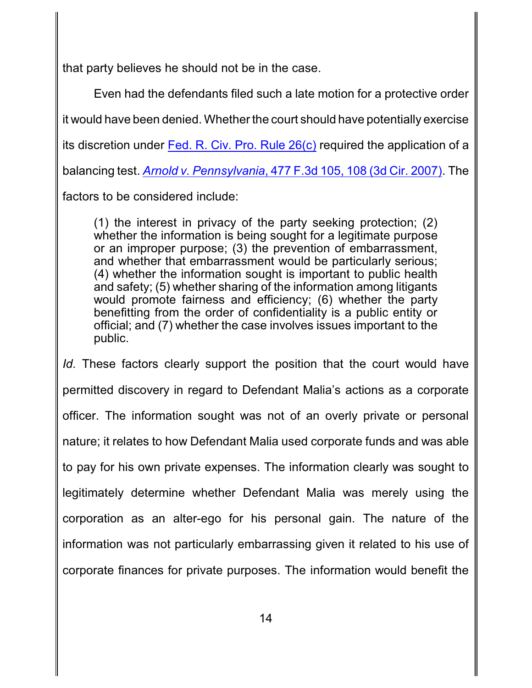that party believes he should not be in the case.

Even had the defendants filed such a late motion for a protective order it would have been denied. Whether the court should have potentially exercise its discretion under Fed. [R. Civ. Pro.](http://westlaw.com/find/default.wl?ft=L&docname=USFRCPR26&rs=btil2.0&rp=%2ffind%2fdefault.wl&fn=_top&findtype=L&vr=2.0&db=1000600&wbtoolsId=USFRCPR26&HistoryType=F) Rule 26(c) required the application of a balancing test. *Arnold v. [Pennsylvania](http://westlaw.com/find/default.wl?ft=Y&referencepositiontype=S&rs=btil2.0&rp=%2ffind%2fdefault.wl&serialnum=2011491806&fn=_top&referenceposition=108&findtype=Y&vr=2.0&db=0000506&wbtoolsId=2011491806&HistoryType=F)*, 477 F.3d 105, 108 (3d Cir. 2007). The factors to be considered include:

(1) the interest in privacy of the party seeking protection; (2) whether the information is being sought for a legitimate purpose or an improper purpose; (3) the prevention of embarrassment, and whether that embarrassment would be particularly serious; (4) whether the information sought is important to public health and safety; (5) whether sharing of the information among litigants would promote fairness and efficiency; (6) whether the party benefitting from the order of confidentiality is a public entity or official; and (7) whether the case involves issues important to the public.

*Id.* These factors clearly support the position that the court would have permitted discovery in regard to Defendant Malia's actions as a corporate officer. The information sought was not of an overly private or personal nature; it relates to how Defendant Malia used corporate funds and was able to pay for his own private expenses. The information clearly was sought to legitimately determine whether Defendant Malia was merely using the corporation as an alter-ego for his personal gain. The nature of the information was not particularly embarrassing given it related to his use of corporate finances for private purposes. The information would benefit the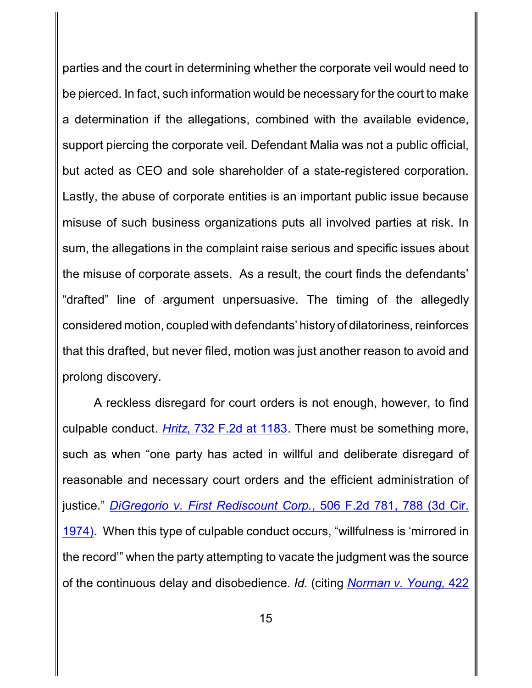parties and the court in determining whether the corporate veil would need to be pierced. In fact, such information would be necessary for the court to make a determination if the allegations, combined with the available evidence, support piercing the corporate veil. Defendant Malia was not a public official, but acted as CEO and sole shareholder of a state-registered corporation. Lastly, the abuse of corporate entities is an important public issue because misuse of such business organizations puts all involved parties at risk. In sum, the allegations in the complaint raise serious and specific issues about the misuse of corporate assets. As a result, the court finds the defendants' "drafted" line of argument unpersuasive. The timing of the allegedly considered motion, coupled with defendants' historyof dilatoriness, reinforces that this drafted, but never filed, motion was just another reason to avoid and prolong discovery.

A reckless disregard for court orders is not enough, however, to find culpable conduct. *Hritz*[, 732 F.2d](http://westlaw.com/find/default.wl?ft=Y&referencepositiontype=S&rs=btil2.0&rp=%2ffind%2fdefault.wl&serialnum=1984120089&fn=_top&referenceposition=1182&findtype=Y&vr=2.0&db=0000350&wbtoolsId=1984120089&HistoryType=F) at 1183. There must be something more, such as when "one party has acted in willful and deliberate disregard of reasonable and necessary court orders and the efficient administration of justice." *DiGregorio v. [First Rediscount](http://westlaw.com/find/default.wl?ft=Y&referencepositiontype=S&rs=btil2.0&rp=%2ffind%2fdefault.wl&serialnum=1974112832&fn=_top&referenceposition=788&findtype=Y&vr=2.0&db=0000350&wbtoolsId=1974112832&HistoryType=F) Corp.*, 506 F.2d 781, 788 (3d Cir. [1974\)](http://westlaw.com/find/default.wl?ft=Y&referencepositiontype=S&rs=btil2.0&rp=%2ffind%2fdefault.wl&serialnum=1974112832&fn=_top&referenceposition=788&findtype=Y&vr=2.0&db=0000350&wbtoolsId=1974112832&HistoryType=F). When this type of culpable conduct occurs, "willfulness is 'mirrored in the record'" when the party attempting to vacate the judgment was the source of the continuous delay and disobedience. *Id.* (citing *[Norman v. Young,](http://westlaw.com/find/default.wl?ft=Y&referencepositiontype=S&rs=btil2.0&rp=%2ffind%2fdefault.wl&serialnum=1970104538&fn=_top&referenceposition=474&findtype=Y&vr=2.0&db=0000350&wbtoolsId=1970104538&HistoryType=F)* 422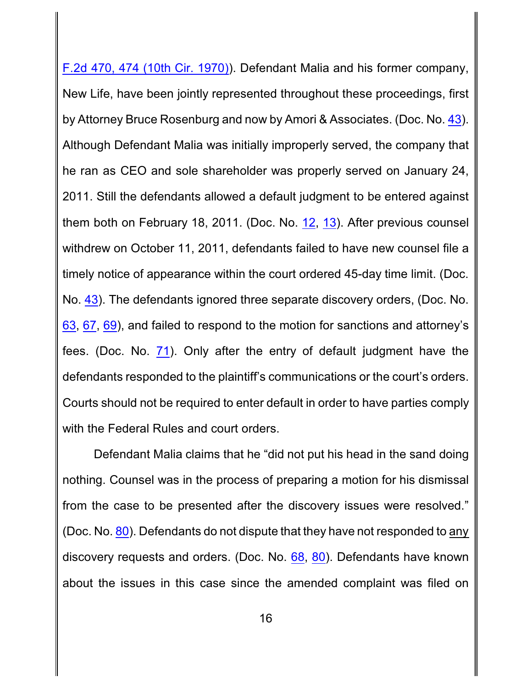F.2d 470, 474 (10th Cir. 1970)). Defendant Malia and his former company, New Life, have been jointly represented throughout these proceedings, first by Attorney Bruce Rosenburg and now by Amori & Associates. (Doc. No. [43](http://ecf.pamd.uscourts.gov/doc1/15503591061)). Although Defendant Malia was initially improperly served, the company that he ran as CEO and sole shareholder was properly served on January 24, 2011. Still the defendants allowed a default judgment to be entered against them both on February 18, 2011. (Doc. No. [12](http://ecf.pamd.uscourts.gov/doc1/15503233190), [13](http://ecf.pamd.uscourts.gov/doc1/15503233221)). After previous counsel withdrew on October 11, 2011, defendants failed to have new counsel file a timely notice of appearance within the court ordered 45-day time limit. (Doc. No. [43](http://ecf.pamd.uscourts.gov/doc1/15503591061)). The defendants ignored three separate discovery orders, (Doc. No. [63](http://ecf.pamd.uscourts.gov/doc1/15503924098), [67](http://ecf.pamd.uscourts.gov/doc1/15503972070), [69](http://ecf.pamd.uscourts.gov/doc1/15503988952)), and failed to respond to the motion for sanctions and attorney's fees. (Doc. No. [71](http://ecf.pamd.uscourts.gov/doc1/15504003449)). Only after the entry of default judgment have the defendants responded to the plaintiff's communications or the court's orders. Courts should not be required to enter default in order to have parties comply with the Federal Rules and court orders.

Defendant Malia claims that he "did not put his head in the sand doing nothing. Counsel was in the process of preparing a motion for his dismissal from the case to be presented after the discovery issues were resolved." (Doc. No. [80](http://ecf.pamd.uscourts.gov/doc1/15504173942)). Defendants do not dispute that they have not responded to any discovery requests and orders. (Doc. No. [68](http://ecf.pamd.uscourts.gov/doc1/15503988495), [80](http://ecf.pamd.uscourts.gov/doc1/15504173942)). Defendants have known about the issues in this case since the amended complaint was filed on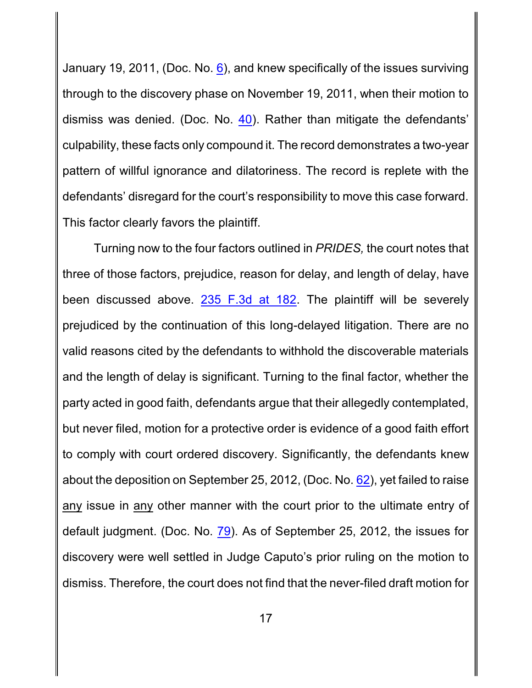January 19, 2011, (Doc. No.  $6$ ), and knew specifically of the issues surviving through to the discovery phase on November 19, 2011, when their motion to dismiss was denied. (Doc. No. [40](http://ecf.pamd.uscourts.gov/doc1/15503571116)). Rather than mitigate the defendants' culpability, these facts only compound it. The record demonstrates a two-year pattern of willful ignorance and dilatoriness. The record is replete with the defendants' disregard for the court's responsibility to move this case forward. This factor clearly favors the plaintiff.

Turning now to the four factors outlined in *PRIDES,* the court notes that three of those factors, prejudice, reason for delay, and length of delay, have been discussed above. [235 F.3d](http://westlaw.com/find/default.wl?ft=Y&referencepositiontype=S&rs=btil2.0&rp=%2ffind%2fdefault.wl&serialnum=2000646141&fn=_top&referenceposition=182&findtype=Y&vr=2.0&db=0000506&wbtoolsId=2000646141&HistoryType=F) at 182. The plaintiff will be severely prejudiced by the continuation of this long-delayed litigation. There are no valid reasons cited by the defendants to withhold the discoverable materials and the length of delay is significant. Turning to the final factor, whether the party acted in good faith, defendants argue that their allegedly contemplated, but never filed, motion for a protective order is evidence of a good faith effort to comply with court ordered discovery. Significantly, the defendants knew about the deposition on September 25, 2012, (Doc. No. [62](http://ecf.pamd.uscourts.gov/doc1/15503922990)), yet failed to raise any issue in any other manner with the court prior to the ultimate entry of default judgment. (Doc. No. [79](http://ecf.pamd.uscourts.gov/doc1/15504168653)). As of September 25, 2012, the issues for discovery were well settled in Judge Caputo's prior ruling on the motion to dismiss. Therefore, the court does not find that the never-filed draft motion for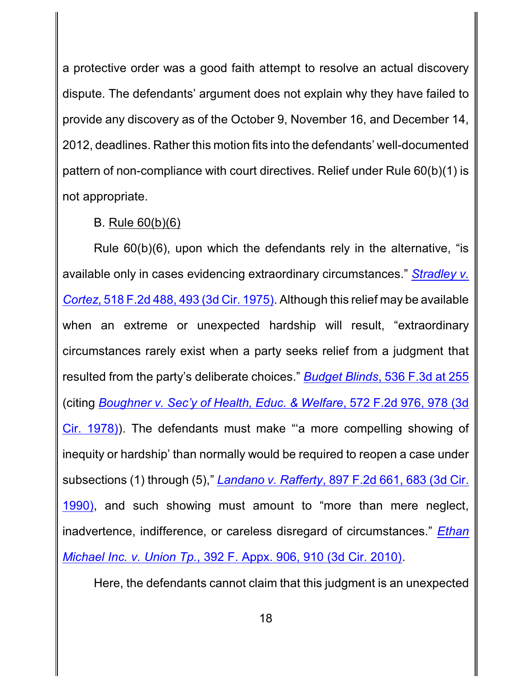a protective order was a good faith attempt to resolve an actual discovery dispute. The defendants' argument does not explain why they have failed to provide any discovery as of the October 9, November 16, and December 14, 2012, deadlines. Rather this motion fits into the defendants' well-documented pattern of non-compliance with court directives. Relief under Rule 60(b)(1) is not appropriate.

### B. Rule 60(b)(6)

Rule 60(b)(6), upon which the defendants rely in the alternative, "is available only in cases evidencing extraordinary circumstances." *[Stradley v.](http://westlaw.com/find/default.wl?ft=Y&referencepositiontype=S&rs=btil2.0&rp=%2ffind%2fdefault.wl&serialnum=1975111393&fn=_top&referenceposition=493&findtype=Y&vr=2.0&db=0000350&wbtoolsId=1975111393&HistoryType=F) Cortez*, 518 F.2d 488, [493 \(3d Cir.](http://westlaw.com/find/default.wl?ft=Y&referencepositiontype=S&rs=btil2.0&rp=%2ffind%2fdefault.wl&serialnum=1975111393&fn=_top&referenceposition=493&findtype=Y&vr=2.0&db=0000350&wbtoolsId=1975111393&HistoryType=F) 1975). Although this relief may be available when an extreme or unexpected hardship will result, "extraordinary circumstances rarely exist when a party seeks relief from a judgment that resulted from the party's deliberate choices." *Budget Blinds*[, 536 F.3d](http://westlaw.com/find/default.wl?ft=Y&referencepositiontype=S&rs=btil2.0&rp=%2ffind%2fdefault.wl&serialnum=2016620777&fn=_top&referenceposition=256&findtype=Y&vr=2.0&db=0000506&wbtoolsId=2016620777&HistoryType=F) at 255 (citing *Boughner v. Sec'y of Health, [Educ. & Welfare](http://westlaw.com/find/default.wl?ft=Y&referencepositiontype=S&rs=btil2.0&rp=%2ffind%2fdefault.wl&serialnum=1978103063&fn=_top&referenceposition=978&findtype=Y&vr=2.0&db=0000350&wbtoolsId=1978103063&HistoryType=F)*, 572 F.2d 976, 978 (3d Cir. [1978\)](http://westlaw.com/find/default.wl?ft=Y&referencepositiontype=S&rs=btil2.0&rp=%2ffind%2fdefault.wl&serialnum=1978103063&fn=_top&referenceposition=978&findtype=Y&vr=2.0&db=0000350&wbtoolsId=1978103063&HistoryType=F)). The defendants must make "'a more compelling showing of inequity or hardship' than normally would be required to reopen a case under subsections (1) through (5)," *Landano v. Rafferty*, 897 F.2d 661, [683 \(3d Cir.](http://westlaw.com/find/default.wl?ft=Y&referencepositiontype=S&rs=btil2.0&rp=%2ffind%2fdefault.wl&serialnum=1990041413&fn=_top&referenceposition=683&findtype=Y&vr=2.0&db=0000350&wbtoolsId=1990041413&HistoryType=F) [1990\)](http://westlaw.com/find/default.wl?ft=Y&referencepositiontype=S&rs=btil2.0&rp=%2ffind%2fdefault.wl&serialnum=1990041413&fn=_top&referenceposition=683&findtype=Y&vr=2.0&db=0000350&wbtoolsId=1990041413&HistoryType=F), and such showing must amount to "more than mere neglect, inadvertence, indifference, or careless disregard of circumstances." *[Ethan](http://westlaw.com/find/default.wl?ft=Y&referencepositiontype=S&rs=btil2.0&rp=%2ffind%2fdefault.wl&serialnum=2022882139&fn=_top&referenceposition=910&findtype=Y&vr=2.0&db=0006538&wbtoolsId=2022882139&HistoryType=F) Michael Inc. v. Union Tp.*[, 392 F. Appx. 906, 910 \(3d Cir. 2010\)](http://westlaw.com/find/default.wl?ft=Y&referencepositiontype=S&rs=btil2.0&rp=%2ffind%2fdefault.wl&serialnum=2022882139&fn=_top&referenceposition=910&findtype=Y&vr=2.0&db=0006538&wbtoolsId=2022882139&HistoryType=F).

Here, the defendants cannot claim that this judgment is an unexpected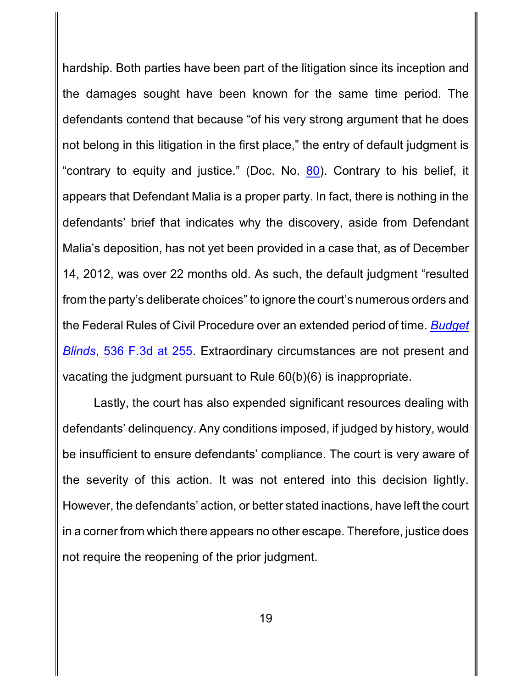hardship. Both parties have been part of the litigation since its inception and the damages sought have been known for the same time period. The defendants contend that because "of his very strong argument that he does not belong in this litigation in the first place," the entry of default judgment is "contrary to equity and justice." (Doc. No. [80](http://ecf.pamd.uscourts.gov/doc1/15504173942)). Contrary to his belief, it appears that Defendant Malia is a proper party. In fact, there is nothing in the defendants' brief that indicates why the discovery, aside from Defendant Malia's deposition, has not yet been provided in a case that, as of December 14, 2012, was over 22 months old. As such, the default judgment "resulted from the party's deliberate choices" to ignore the court's numerous orders and the Federal Rules of Civil Procedure over an extended period of time. *[Budget](http://westlaw.com/find/default.wl?ft=Y&referencepositiontype=S&rs=btil2.0&rp=%2ffind%2fdefault.wl&serialnum=2016620777&fn=_top&referenceposition=256&findtype=Y&vr=2.0&db=0000506&wbtoolsId=2016620777&HistoryType=F) Blinds*[, 536 F.3d at](http://westlaw.com/find/default.wl?ft=Y&referencepositiontype=S&rs=btil2.0&rp=%2ffind%2fdefault.wl&serialnum=2016620777&fn=_top&referenceposition=256&findtype=Y&vr=2.0&db=0000506&wbtoolsId=2016620777&HistoryType=F) 255. Extraordinary circumstances are not present and vacating the judgment pursuant to Rule 60(b)(6) is inappropriate.

Lastly, the court has also expended significant resources dealing with defendants' delinquency. Any conditions imposed, if judged by history, would be insufficient to ensure defendants' compliance. The court is very aware of the severity of this action. It was not entered into this decision lightly. However, the defendants' action, or better stated inactions, have left the court in a corner from which there appears no other escape. Therefore, justice does not require the reopening of the prior judgment.